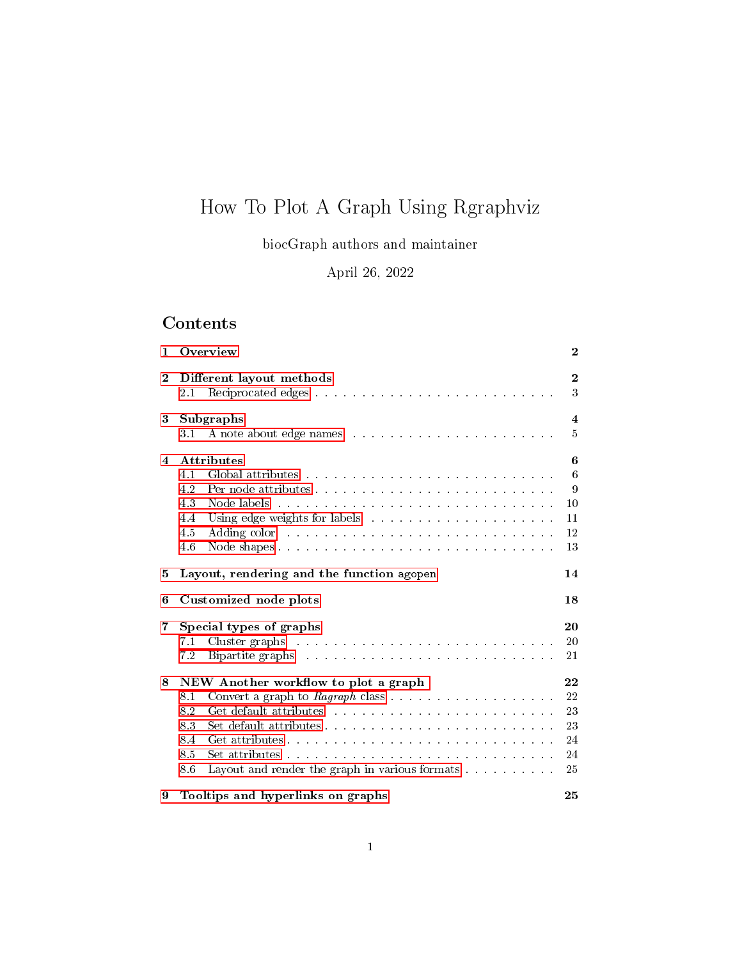# How To Plot A Graph Using Rgraphviz

biocGraph authors and maintainer

April 26, 2022

# Contents

| 1                       | Overview                                                                                                                                                                                                                                                                                                                                                                                                                                                                                                  | $\bf{2}$                               |
|-------------------------|-----------------------------------------------------------------------------------------------------------------------------------------------------------------------------------------------------------------------------------------------------------------------------------------------------------------------------------------------------------------------------------------------------------------------------------------------------------------------------------------------------------|----------------------------------------|
| $\bf{2}$                | Different layout methods<br>2.1                                                                                                                                                                                                                                                                                                                                                                                                                                                                           | $\boldsymbol{2}$<br>3                  |
| 3                       | Subgraphs<br>3.1                                                                                                                                                                                                                                                                                                                                                                                                                                                                                          | $\overline{4}$<br>5                    |
| $\overline{\mathbf{4}}$ | <b>Attributes</b><br>4.1<br>4.2<br>4.3<br>4.4<br>4.5<br>4.6                                                                                                                                                                                                                                                                                                                                                                                                                                               | 6<br>6<br>9<br>10<br>11<br>12<br>13    |
| 5                       | Layout, rendering and the function agopen                                                                                                                                                                                                                                                                                                                                                                                                                                                                 | 14                                     |
| 6                       | Customized node plots                                                                                                                                                                                                                                                                                                                                                                                                                                                                                     | 18                                     |
| 7                       | Special types of graphs<br>Cluster graphs research resources in the contract of the contract of the contract of the contract of the contract of the contract of the contract of the contract of the contract of the contract of the contract of the contr<br>7.1<br>7.2<br>Bipartite graphs entertainment and the state of the state of the state of the state of the state of the state of the state of the state of the state of the state of the state of the state of the state of the state of the s | 20<br>20<br>21                         |
| 8                       | NEW Another workflow to plot a graph<br>8.1<br>8.2<br>8.3<br>8.4<br>8.5<br>Layout and render the graph in various formats<br>8.6                                                                                                                                                                                                                                                                                                                                                                          | 22<br>22<br>23<br>23<br>24<br>24<br>25 |
| 9                       | Tooltips and hyperlinks on graphs                                                                                                                                                                                                                                                                                                                                                                                                                                                                         | 25                                     |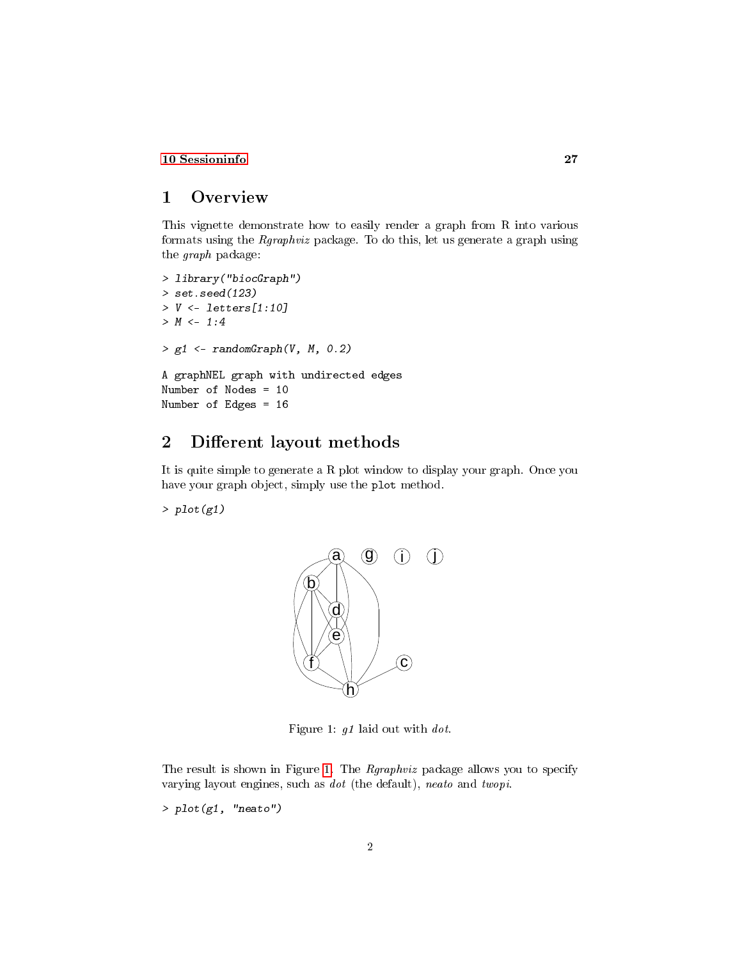### [10 Sessioninfo](#page-26-0) 27

# <span id="page-1-0"></span>1 Overview

This vignette demonstrate how to easily render a graph from R into various formats using the Rgraphviz package. To do this, let us generate a graph using the graph package:

```
> library("biocGraph")
> set.seed(123)
> V \le letters[1:10]
> M < -1:4> g1 \leq - \text{randomGraph}(V, M, 0.2)A graphNEL graph with undirected edges
Number of Nodes = 10
Number of Edges = 16
```
# <span id="page-1-1"></span>2 Different layout methods

It is quite simple to generate a R plot window to display your graph. Once you have your graph object, simply use the plot method.

 $> plot(g1)$ 



<span id="page-1-2"></span>Figure 1: g1 laid out with dot.

The result is shown in Figure [1.](#page-1-2) The Rgraphviz package allows you to specify varying layout engines, such as dot (the default), neato and twopi.

 $> plot(g1, 'meato'')$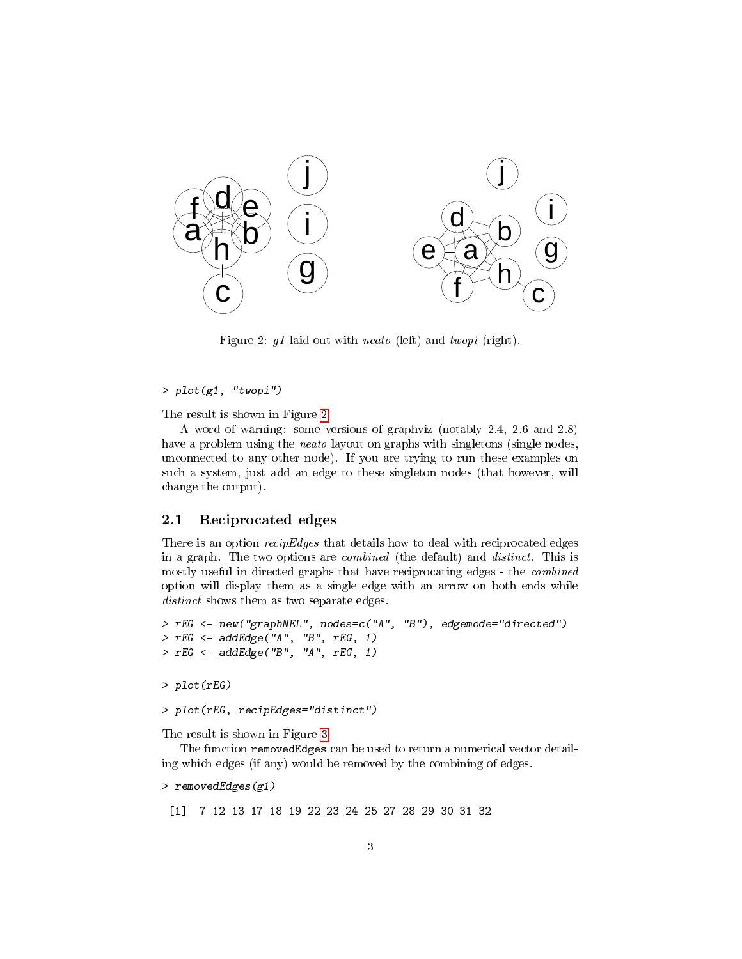

<span id="page-2-1"></span>Figure 2: g1 laid out with neato (left) and twopi (right).

#### $> plot(g1, "twopi")$

The result is shown in Figure [2.](#page-2-1)

A word of warning: some versions of graphviz (notably 2.4, 2.6 and 2.8) have a problem using the *neato* layout on graphs with singletons (single nodes, unconnected to any other node). If you are trying to run these examples on such a system, just add an edge to these singleton nodes (that however, will change the output).

### <span id="page-2-0"></span>2.1 Reciprocated edges

There is an option *recipEdges* that details how to deal with reciprocated edges in a graph. The two options are combined (the default) and distinct. This is mostly useful in directed graphs that have reciprocating edges - the combined option will display them as a single edge with an arrow on both ends while distinct shows them as two separate edges.

```
> rEG <- new("graphNEL", nodes=c("A", "B"), edgemode="directed")
> rEG \leftarrow addEdge("A", "B", rEG, 1)> rEG <- addEdge("B", "A", rEG, 1)
> plot(rEG)
```
The result is shown in Figure [3.](#page-3-1)

> plot(rEG, recipEdges="distinct")

The function removedEdges can be used to return a numerical vector detailing which edges (if any) would be removed by the combining of edges.

```
> removedEdges(g1)
```
[1] 7 12 13 17 18 19 22 23 24 25 27 28 29 30 31 32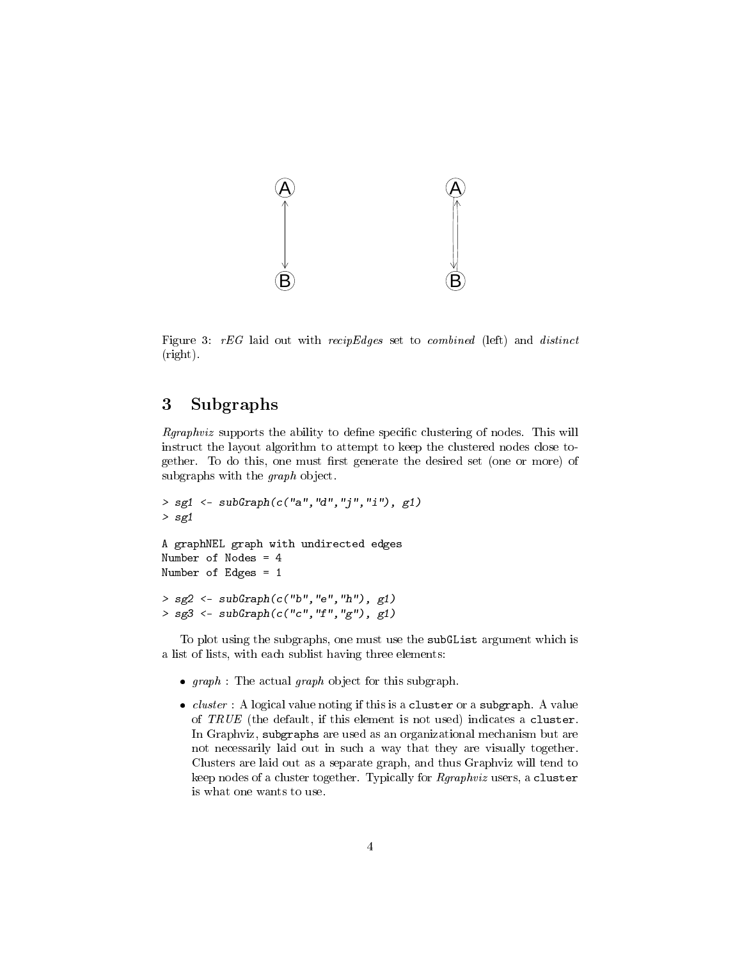

<span id="page-3-1"></span>Figure 3:  $rEG$  laid out with  $recipEdges$  set to *combined* (left) and *distinct* (right).

# <span id="page-3-0"></span>3 Subgraphs

 $Rgraphviz$  supports the ability to define specific clustering of nodes. This will instruct the layout algorithm to attempt to keep the clustered nodes close together. To do this, one must first generate the desired set (one or more) of subgraphs with the graph object.

```
> sg1 <- subGraph(c("a", "d", "j", "i"), g1)> sg1
A graphNEL graph with undirected edges
Number of Nodes = 4
Number of Edges = 1
> sg2 <- subGraph(c("b","e","h"), g1)
> sg3 \leftarrow subGraph(c("c", "f", "g"), g1)
```
To plot using the subgraphs, one must use the subGList argument which is a list of lists, with each sublist having three elements:

- $\bullet$  graph : The actual graph object for this subgraph.
- $\bullet$  *cluster* : A logical value noting if this is a cluster or a subgraph. A value of  $TRUE$  (the default, if this element is not used) indicates a cluster. In Graphviz, subgraphs are used as an organizational mechanism but are not necessarily laid out in such a way that they are visually together. Clusters are laid out as a separate graph, and thus Graphviz will tend to keep nodes of a cluster together. Typically for Rgraphviz users, a cluster is what one wants to use.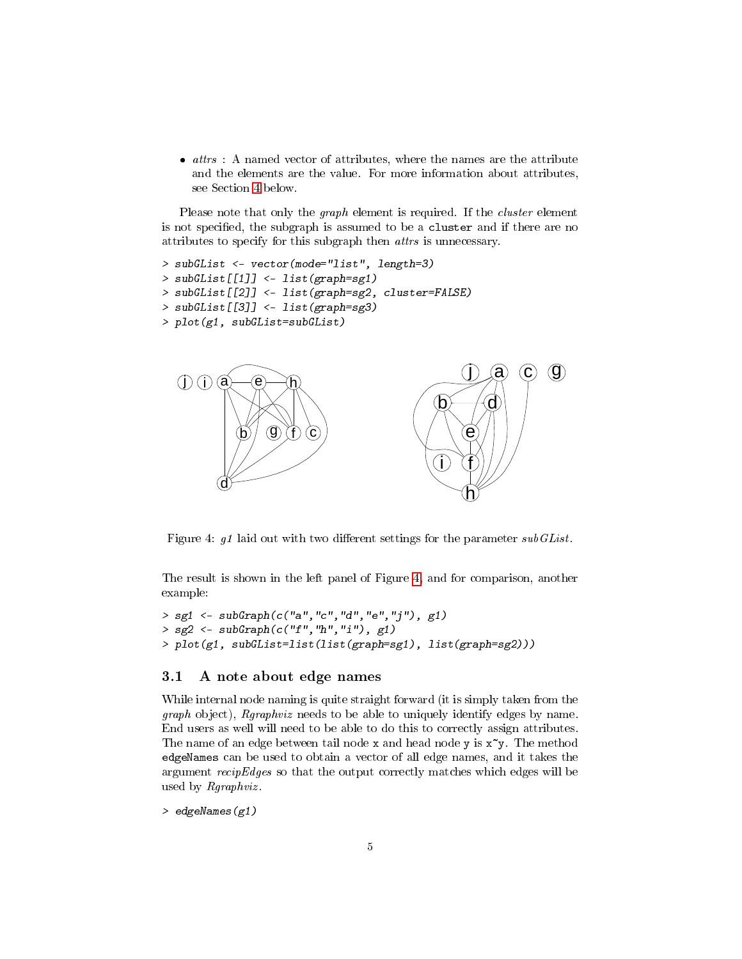$\bullet$  *attrs* : A named vector of attributes, where the names are the attribute and the elements are the value. For more information about attributes, see Section [4](#page-5-0) below.

Please note that only the *graph* element is required. If the *cluster* element is not specified, the subgraph is assumed to be a cluster and if there are no attributes to specify for this subgraph then attrs is unnecessary.

```
> subGList <- vector(mode="list", length=3)
> subGList[[1]] <- list(graph=sg1)
> subGList[[2]] <- list(graph=sg2, cluster=FALSE)
> subGList[[3]] <- list(graph=sg3)
> plot(g1, subGList=subGList)
```


<span id="page-4-1"></span>Figure 4:  $g1$  laid out with two different settings for the parameter subGList.

The result is shown in the left panel of Figure [4,](#page-4-1) and for comparison, another example:

```
> sg1 <- subGraph(c("a","c","d","e","j"), g1)
> sg2 \leq subf{graph}(c("f", "h", "i"), g1)> plot(g1, subGList=list(list(graph=sg1), list(graph=sg2)))
```
#### <span id="page-4-0"></span>3.1 A note about edge names

While internal node naming is quite straight forward (it is simply taken from the graph object), Rgraphviz needs to be able to uniquely identify edges by name. End users as well will need to be able to do this to correctly assign attributes. The name of an edge between tail node x and head node y is  $x^y$ . The method edgeNames can be used to obtain a vector of all edge names, and it takes the argument recipEdges so that the output correctly matches which edges will be used by *Rgraphviz*.

> edgeNames(g1)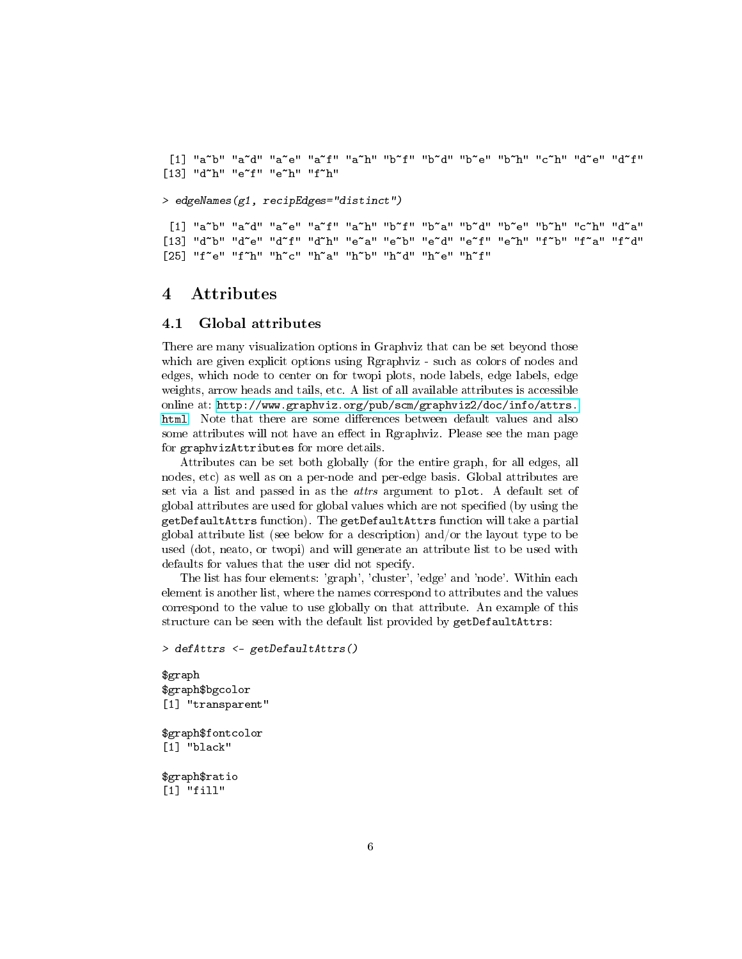[1] "a~b" "a~d" "a~e" "a~f" "a~h" "b~f" "b~d" "b~e" "b~h" "c~h" "d~e" "d~f" [13] "d"h" "e"f" "e"h" "f"h"

> edgeNames(g1, recipEdges="distinct")

[1] "a~b" "a~d" "a~e" "a~f" "a~h" "b~f" "b~a" "b~d" "b~e" "b~h" "c~h" "d~a" [13] "d~b" "d~e" "d~f" "d~h" "e~a" "e~b" "e~d" "e~f" "e~h" "f~b" "f~a" "f~d" [25] "f~e" "f~h" "h~c" "h~a" "h~b" "h~d" "h~e" "h~f"

## <span id="page-5-0"></span>4 Attributes

#### <span id="page-5-1"></span>4.1 Global attributes

There are many visualization options in Graphviz that can be set beyond those which are given explicit options using Rgraphviz - such as colors of nodes and edges, which node to center on for twopi plots, node labels, edge labels, edge weights, arrow heads and tails, etc. A list of all available attributes is accessible online at: [http://www.graphviz.org/pub/scm/graphviz2/doc/info/attrs.](http://www.graphviz.org/pub/scm/graphviz2/doc/info/attrs.html) [html.](http://www.graphviz.org/pub/scm/graphviz2/doc/info/attrs.html) Note that there are some differences between default values and also some attributes will not have an effect in Rgraphviz. Please see the man page for graphvizAttributes for more details.

Attributes can be set both globally (for the entire graph, for all edges, all nodes, etc) as well as on a per-node and per-edge basis. Global attributes are set via a list and passed in as the attrs argument to plot. A default set of global attributes are used for global values which are not specified (by using the getDefaultAttrs function). The getDefaultAttrs function will take a partial global attribute list (see below for a description) and/or the layout type to be used (dot, neato, or twopi) and will generate an attribute list to be used with defaults for values that the user did not specify.

The list has four elements: 'graph', 'cluster', 'edge' and 'node'. Within each element is another list, where the names correspond to attributes and the values correspond to the value to use globally on that attribute. An example of this structure can be seen with the default list provided by getDefaultAttrs:

```
> defAttrs <- getDefaultAttrs()
```
\$graph \$graph\$bgcolor [1] "transparent"

\$graph\$fontcolor [1] "black"

\$graph\$ratio [1] "fill"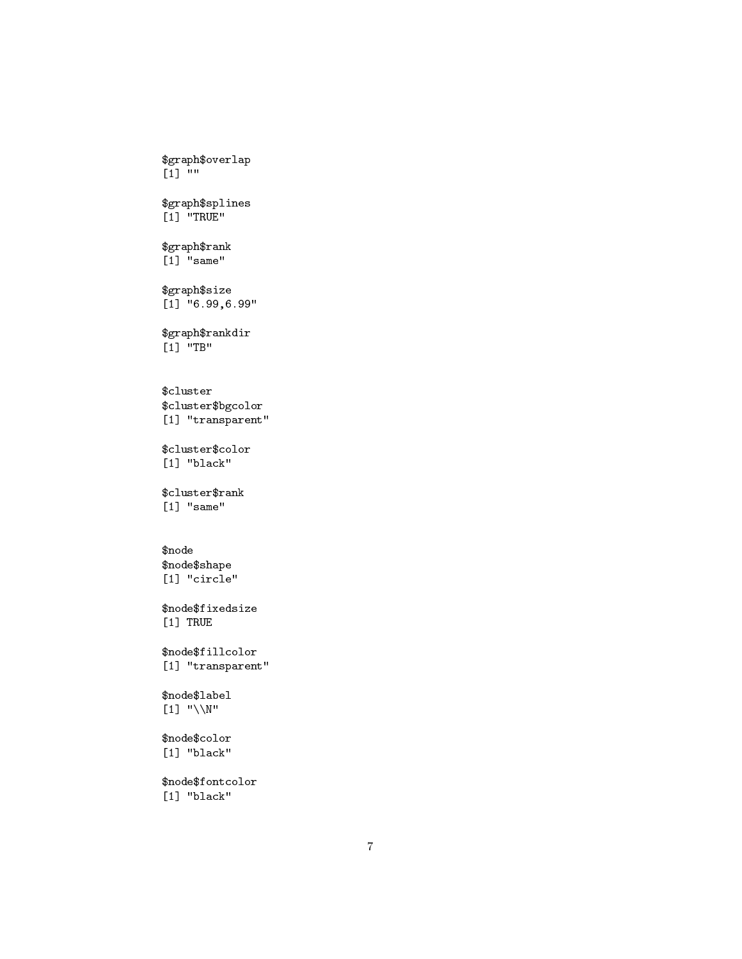\$graph\$overlap [1] "" \$graph\$splines [1] "TRUE" \$graph\$rank [1] "same" \$graph\$size [1] "6.99,6.99" \$graph\$rankdir  $\begin{bmatrix} 1 \end{bmatrix}$  "TB" \$cluster \$cluster\$bgcolor [1] "transparent" \$cluster\$color [1] "black" \$cluster\$rank [1] "same" \$node \$node\$shape [1] "circle" \$node\$fixedsize [1] TRUE \$node\$fillcolor [1] "transparent" \$node\$label [1] "\\N" \$node\$color [1] "black"

\$node\$fontcolor [1] "black"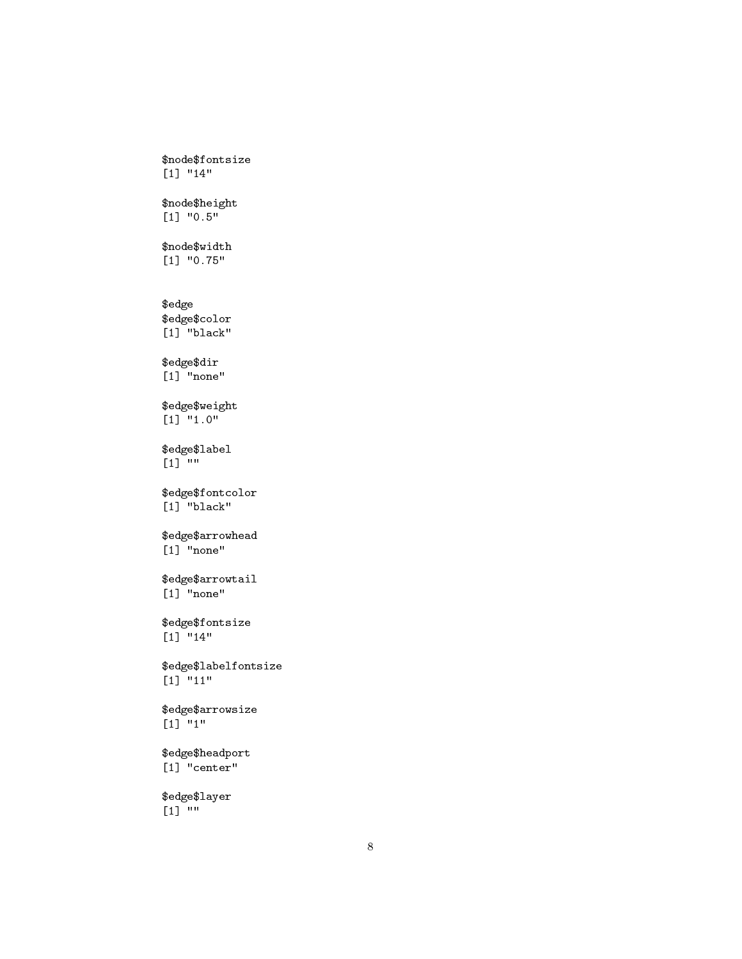```
[1] "14"
$node$height
[1] "0.5"
$node$width
[1] "0.75"
$edge
$edge$color
[1] "black"
$edge$dir
[1] "none"
$edge$weight
[1] "1.0"
$edge$label
[1]<sup>""</sup>
$edge$fontcolor
[1] "black"
$edge$arrowhead
[1] "none"
$edge$arrowtail
[1] "none"
$edge$fontsize
[1] "14"
$edge$labelfontsize
[1] "11"
$edge$arrowsize
[1] "1"
$edge$headport
[1] "center"
$edge$layer
[1] ""
```
\$node\$fontsize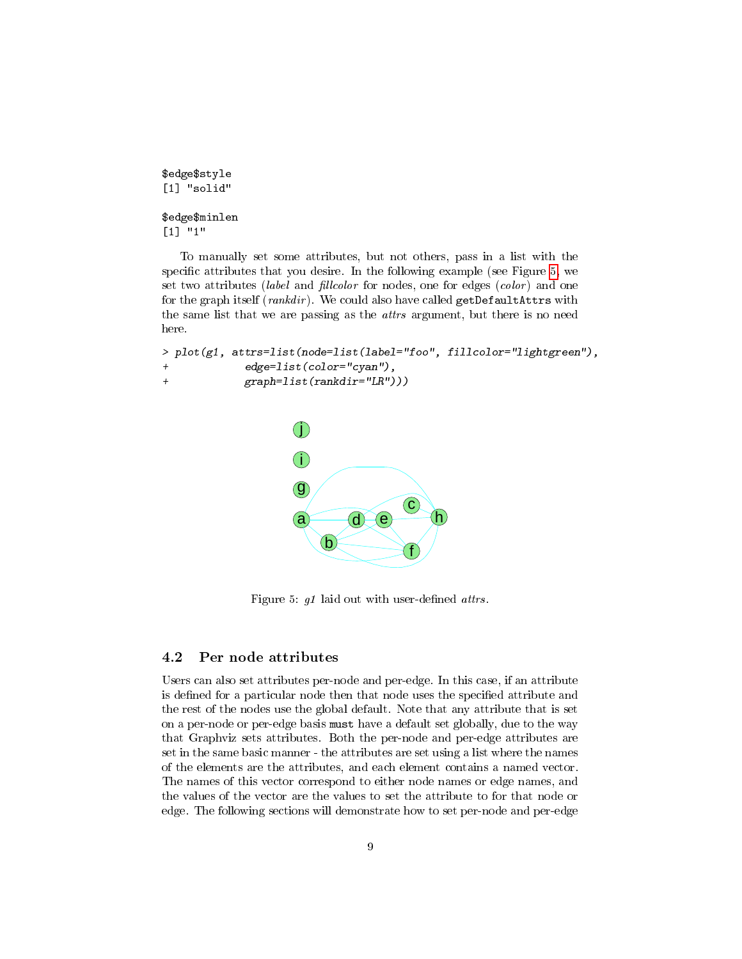```
$edge$style
[1] "solid"
$edge$minlen
[1] "1"
```
To manually set some attributes, but not others, pass in a list with the specific attributes that you desire. In the following example (see Figure [5,](#page-8-1) we set two attributes (label and fillcolor for nodes, one for edges (color) and one for the graph itself (rankdir). We could also have called getDefaultAttrs with the same list that we are passing as the attrs argument, but there is no need here.

```
> plot(g1, attrs=list(node=list(label="foo", fillcolor="lightgreen"),
            edge=list(color="cyan"),
+ graph=list(rankdir="LR")))
```


<span id="page-8-1"></span>Figure 5:  $g1$  laid out with user-defined attrs.

### <span id="page-8-0"></span>4.2 Per node attributes

Users can also set attributes per-node and per-edge. In this case, if an attribute is defined for a particular node then that node uses the specified attribute and the rest of the nodes use the global default. Note that any attribute that is set on a per-node or per-edge basis must have a default set globally, due to the way that Graphviz sets attributes. Both the per-node and per-edge attributes are set in the same basic manner - the attributes are set using a list where the names of the elements are the attributes, and each element contains a named vector. The names of this vector correspond to either node names or edge names, and the values of the vector are the values to set the attribute to for that node or edge. The following sections will demonstrate how to set per-node and per-edge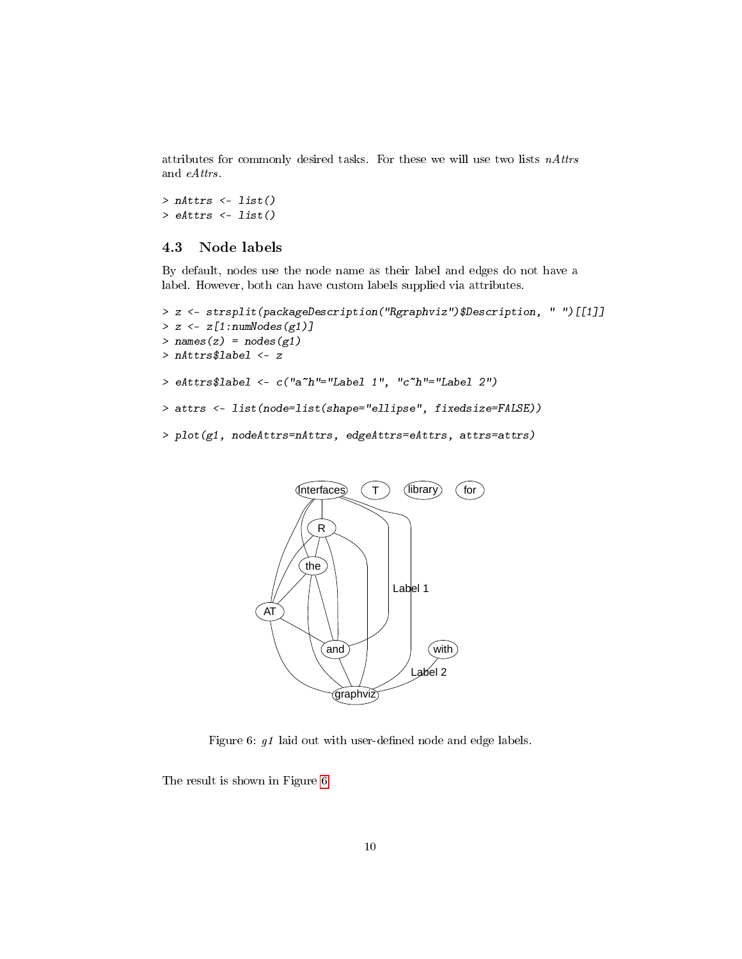attributes for commonly desired tasks. For these we will use two lists nAttrs and eAttrs.

> nAttrs <- list()  $>$  eAttrs  $\le$  list()

## <span id="page-9-0"></span>4.3 Node labels

By default, nodes use the node name as their label and edges do not have a label. However, both can have custom labels supplied via attributes.

```
> z <- strsplit(packageDescription("Rgraphviz")$Description, " ")[[1]]
> z \leftarrow z[1:numNodes(g1)]> names(z) = nodes(g1)
> nAttrs$label <- z
> eAttrs$label <- c("a~h"="Label 1", "c~h"="Label 2")
> attrs <- list(node=list(shape="ellipse", fixedsize=FALSE))
> plot(g1, nodeAttrs=nAttrs, edgeAttrs=eAttrs, attrs=attrs)
```


<span id="page-9-1"></span>Figure 6:  $g1$  laid out with user-defined node and edge labels.

The result is shown in Figure [6.](#page-9-1)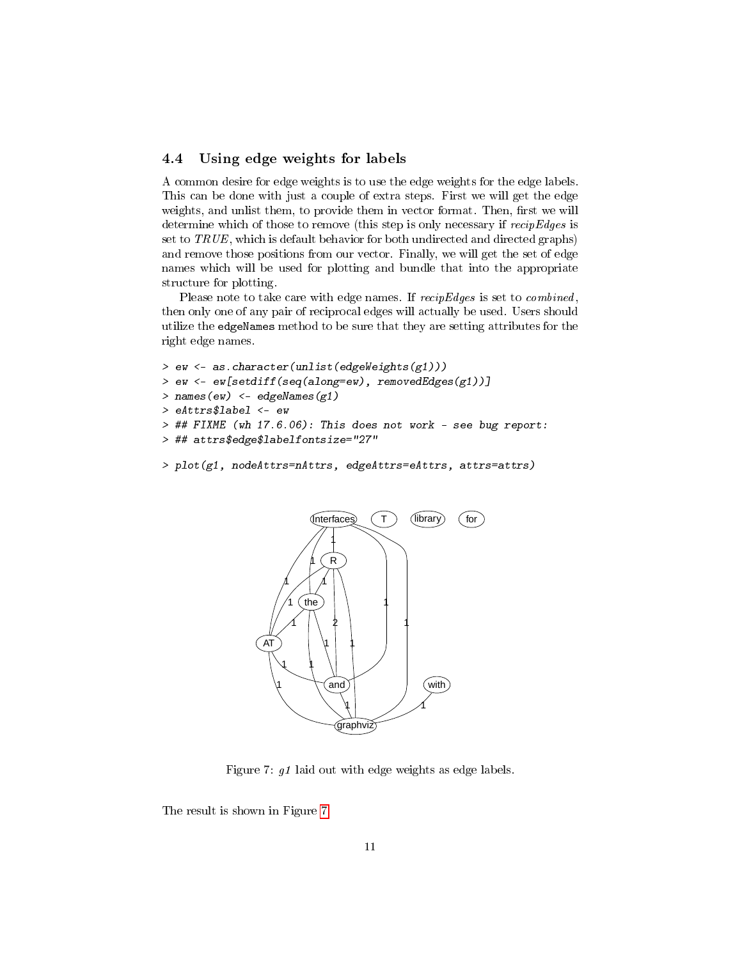### <span id="page-10-0"></span>4.4 Using edge weights for labels

A common desire for edge weights is to use the edge weights for the edge labels. This can be done with just a couple of extra steps. First we will get the edge weights, and unlist them, to provide them in vector format. Then, first we will determine which of those to remove (this step is only necessary if recipEdges is set to TRUE, which is default behavior for both undirected and directed graphs) and remove those positions from our vector. Finally, we will get the set of edge names which will be used for plotting and bundle that into the appropriate structure for plotting.

Please note to take care with edge names. If  $recipEdges$  is set to *combined*, then only one of any pair of reciprocal edges will actually be used. Users should utilize the edgeNames method to be sure that they are setting attributes for the right edge names.

```
> ew <- as.character(unlist(edgeWeights(g1)))
> ew <- ew[setdiff(seq(along=ew), removedEdges(g1))]
> names(ew) <- edgeNames(g1)
> eAttrs$label <- ew
> ## FIXME (wh 17.6.06): This does not work - see bug report:
> ## attrs$edge$labelfontsize="27"
```

```
> plot(g1, nodeAttrs=nAttrs, edgeAttrs=eAttrs, attrs=attrs)
```


<span id="page-10-1"></span>Figure 7: g1 laid out with edge weights as edge labels.

The result is shown in Figure [7.](#page-10-1)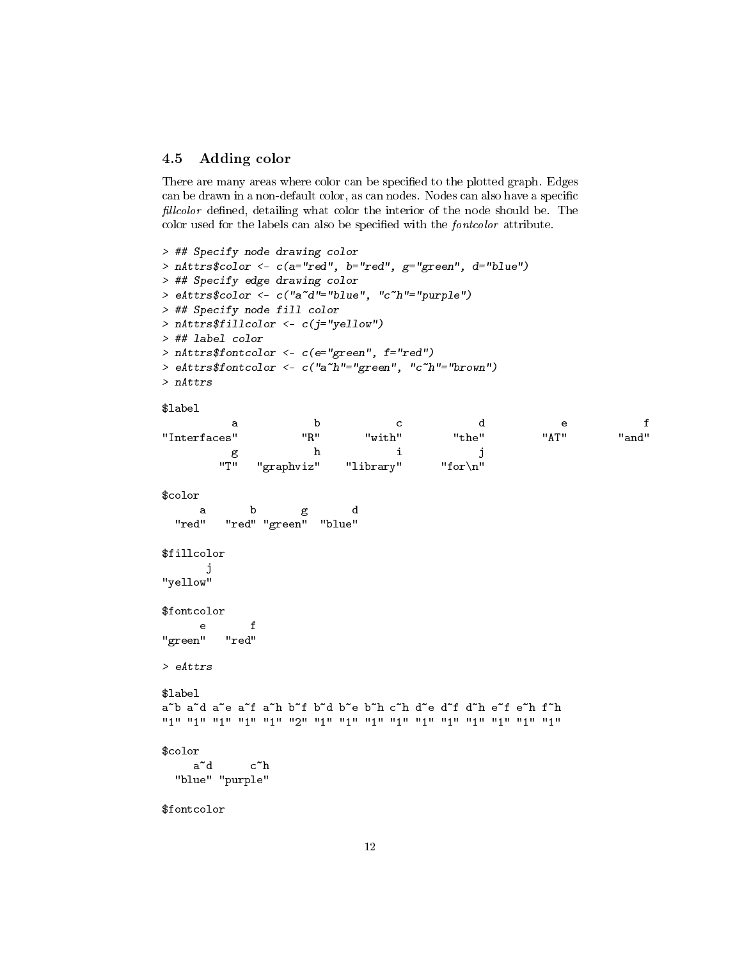### <span id="page-11-0"></span>4.5 Adding color

There are many areas where color can be specified to the plotted graph. Edges can be drawn in a non-default color, as can nodes. Nodes can also have a specific fillcolor defined, detailing what color the interior of the node should be. The color used for the labels can also be specified with the *fontcolor* attribute.

```
> ## Specify node drawing color
> nAttrs$color <- c(a="red", b="red", g="green", d="blue")
> ## Specify edge drawing color
> eAttrs$color <- c("a~d"="blue", "c~h"="purple")
> ## Specify node fill color
> nAttrs$fillcolor <- c(j="yellow")
> ## label color
> nAttrs$fontcolor <- c(e="green", f="red")
> eAttrs$fontcolor <- c("a~h"="green", "c~h"="brown")
> nAttrs
$label
         a b c de f
"Interfaces" "R" "with" "the" "AT" "and"
         g h i j
       "T" "graphviz" "library" "for\n"
$color
     a b g d
 "red" "red" "green" "blue"
$fillcolor
      j
"yellow"
$fontcolor
     e f
"green" "red"
> eAttrs
$label
a~b a~d a~e a~f a~h b~f b~d b~e b~h c~h d~e d~f d~h e~f e~h f~h
"1" "1" "1" "1" "1" "2" "1" "1" "1" "1" "1" "1" "1" "1" "1" "1"
$color
    \mathtt{a}^{\sim}\mathtt{d} c^h
 "blue" "purple"
$fontcolor
```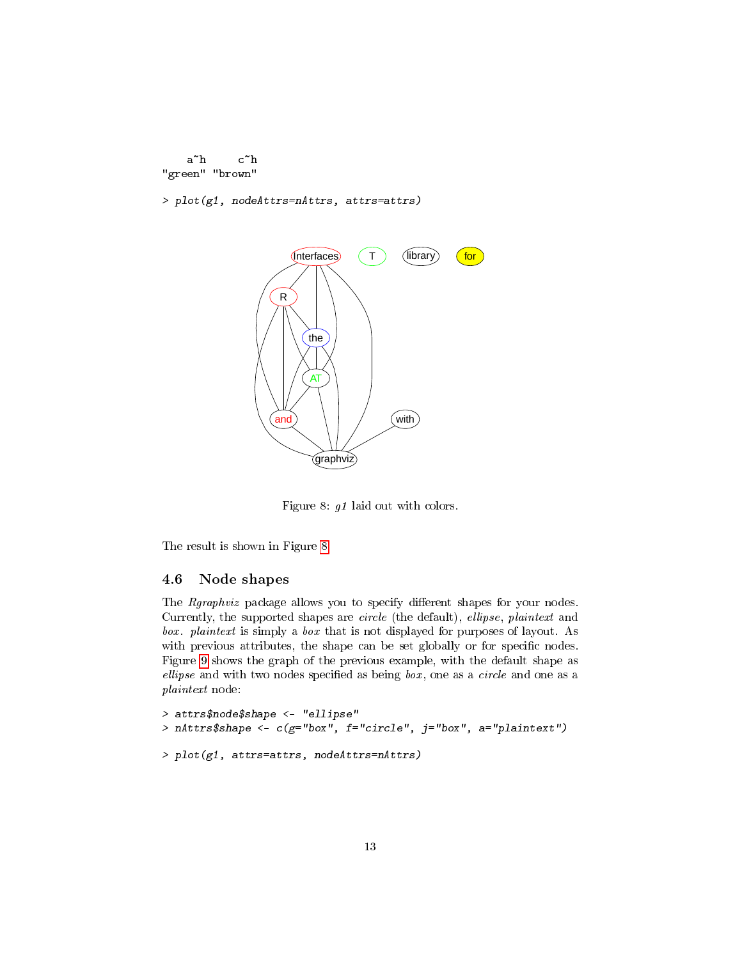```
a~h c~h
"green" "brown"
```
> plot(g1, nodeAttrs=nAttrs, attrs=attrs)



<span id="page-12-1"></span>Figure 8: g1 laid out with colors.

The result is shown in Figure [8.](#page-12-1)

#### <span id="page-12-0"></span>4.6 Node shapes

The Rgraphviz package allows you to specify different shapes for your nodes. Currently, the supported shapes are circle (the default), ellipse, plaintext and box. plaintext is simply a box that is not displayed for purposes of layout. As with previous attributes, the shape can be set globally or for specific nodes. Figure [9](#page-13-1) shows the graph of the previous example, with the default shape as ellipse and with two nodes specified as being  $box$ , one as a *circle* and one as a plaintext node:

```
> attrs$node$shape <- "ellipse"
> nAttrs$shape <- c(g="box", f="circle", j="box", a="plaintext")
> plot(g1, attrs=attrs, nodeAttrs=nAttrs)
```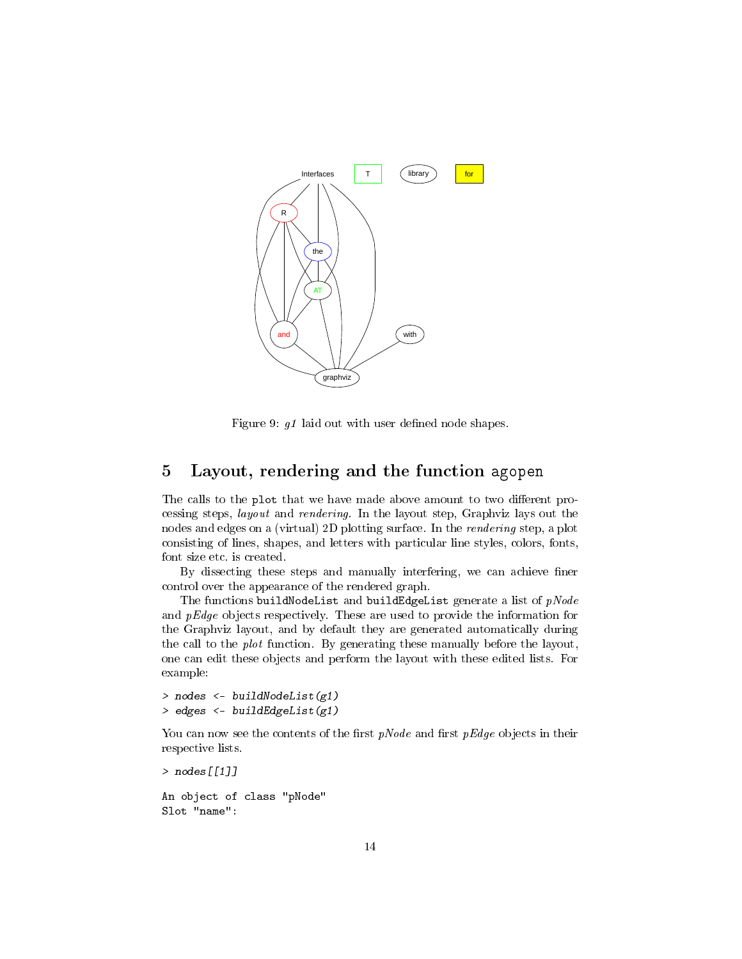

<span id="page-13-1"></span>Figure 9:  $g1$  laid out with user defined node shapes.

# <span id="page-13-0"></span>5 Layout, rendering and the function agopen

The calls to the plot that we have made above amount to two different processing steps, layout and rendering. In the layout step, Graphviz lays out the nodes and edges on a (virtual) 2D plotting surface. In the rendering step, a plot consisting of lines, shapes, and letters with particular line styles, colors, fonts, font size etc. is created.

By dissecting these steps and manually interfering, we can achieve finer control over the appearance of the rendered graph.

The functions buildNodeList and buildEdgeList generate a list of  $pNode$ and pEdge objects respectively. These are used to provide the information for the Graphviz layout, and by default they are generated automatically during the call to the plot function. By generating these manually before the layout, one can edit these objects and perform the layout with these edited lists. For example:

```
> nodes <- buildNodeList(g1)
> edges <- buildEdgeList(g1)
```
You can now see the contents of the first  $pNode$  and first  $pEdge$  objects in their respective lists.

```
> nodes[[1]]
An object of class "pNode"
```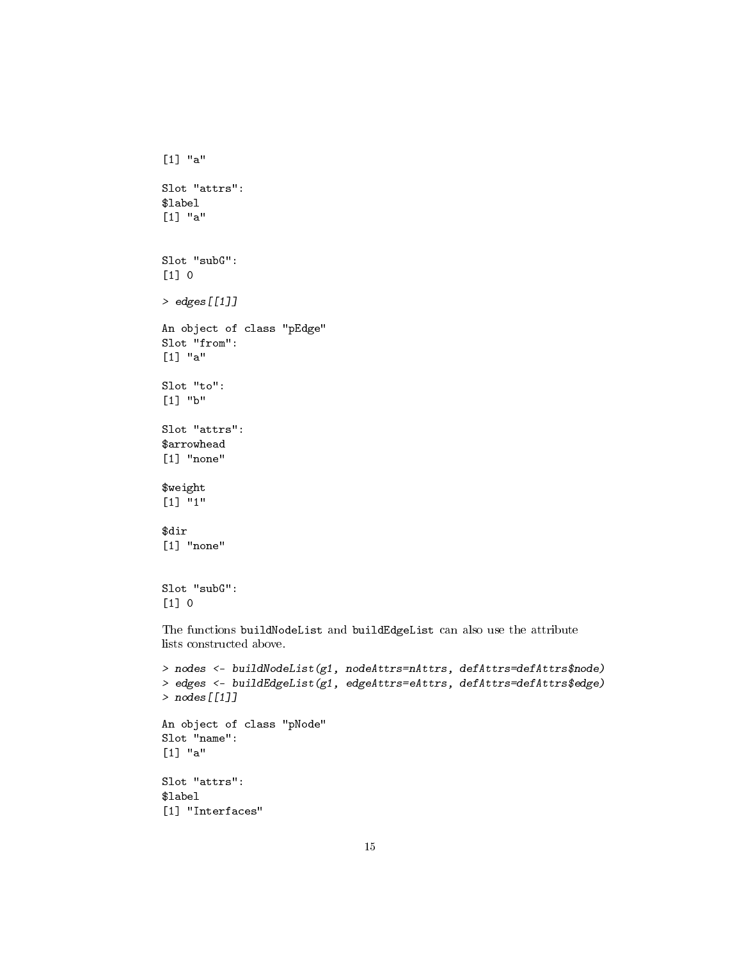```
[1] "a"
Slot "attrs":
$label
[1] "a"
Slot "subG":
[1] 0
> edges[[1]]
An object of class "pEdge"
Slot "from":
[1] "a"
Slot "to":
[1] "b"
Slot "attrs":
$arrowhead
[1] "none"
$weight
[1] "1"
$dir
[1] "none"
Slot "subG":
[1] 0
The functions buildNodeList and buildEdgeList can also use the attribute
lists constructed above.
> nodes <- buildNodeList(g1, nodeAttrs=nAttrs, defAttrs=defAttrs$node)
> edges <- buildEdgeList(g1, edgeAttrs=eAttrs, defAttrs=defAttrs$edge)
> nodes[[1]]
```

```
An object of class "pNode"
Slot "name":
[1] "a"
Slot "attrs":
$label
[1] "Interfaces"
```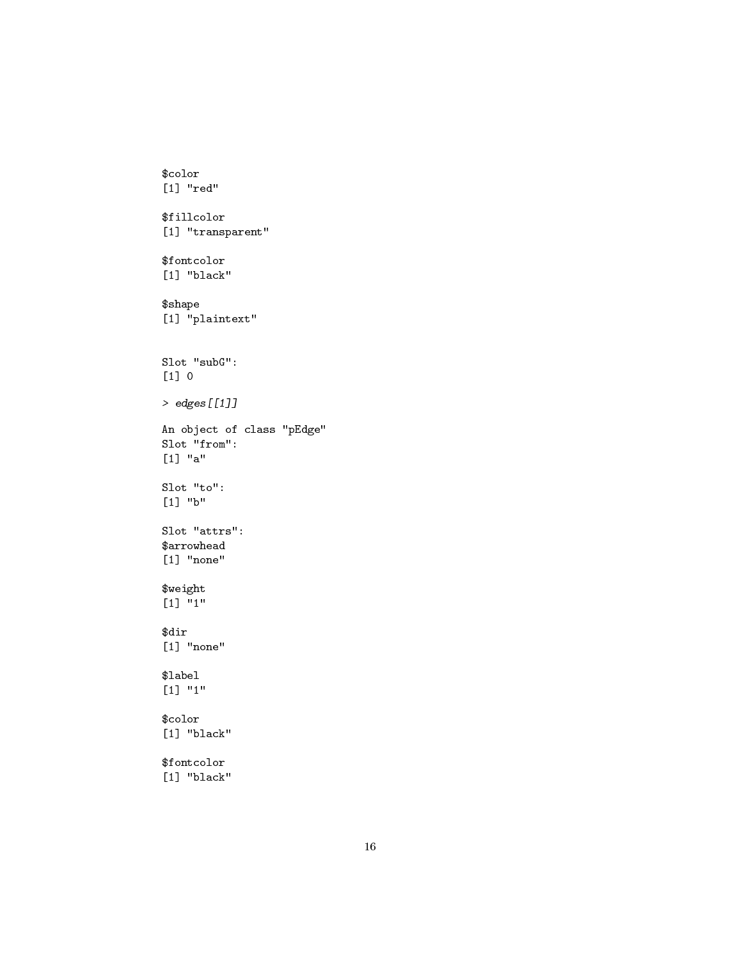```
$color
[1] "red"
$fillcolor
[1] "transparent"
$fontcolor
[1] "black"
$shape
[1] "plaintext"
Slot "subG":
[1] 0
> edges[[1]]
An object of class "pEdge"
Slot "from":
[1] "a"
Slot "to":
[1] "b"
Slot "attrs":
$arrowhead
[1] "none"
$weight
[1] "1"
$dir
[1] "none"
$label
[1] "1"
$color
[1] "black"
$fontcolor
[1] "black"
```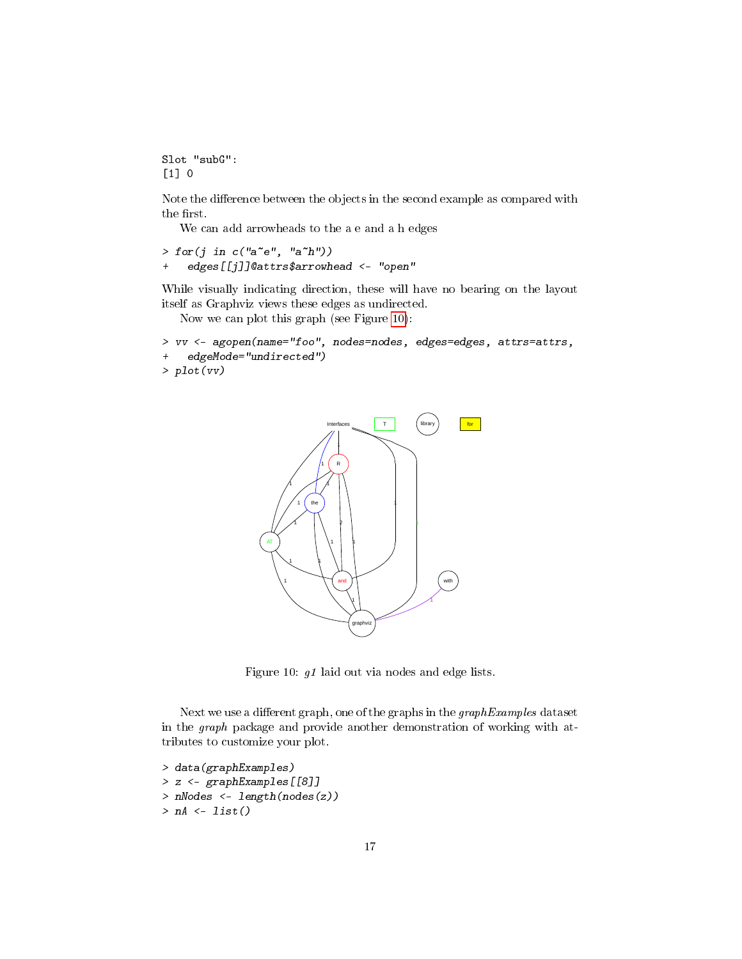Slot "subG": [1] 0

Note the difference between the objects in the second example as compared with the first.

We can add arrowheads to the a e and a h edges

```
> for(j in c("a<sup>~</sup>e", "a<sup>~</sup>h"))
+ edges[[j]]@attrs$arrowhead <- "open"
```
While visually indicating direction, these will have no bearing on the layout itself as Graphviz views these edges as undirected.

Now we can plot this graph (see Figure [10\)](#page-16-0):

```
> vv <- agopen(name="foo", nodes=nodes, edges=edges, attrs=attrs,
+ edgeMode="undirected")
> plot(vv)
```


<span id="page-16-0"></span>Figure 10: g1 laid out via nodes and edge lists.

Next we use a different graph, one of the graphs in the  $graphExamples$  dataset in the graph package and provide another demonstration of working with attributes to customize your plot.

```
> data(graphExamples)
> z <- graphExamples[[8]]
> nNodes <- length(nodes(z))
> nA \leftarrow list()
```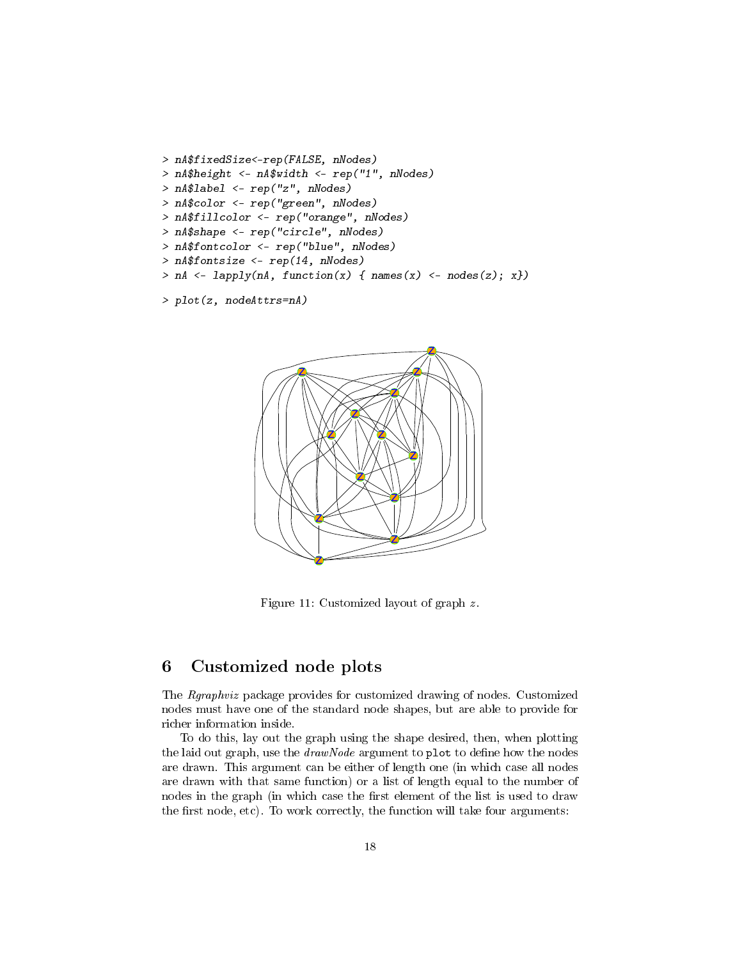```
> nA$fixedSize<-rep(FALSE, nNodes)
> nA$height <- nA$width <- rep("1", nNodes)
> nA$label <- rep("z", nNodes)
> nA$color <- rep("green", nNodes)
> nA$fillcolor <- rep("orange", nNodes)
> nA$shape <- rep("circle", nNodes)
> nA$fontcolor <- rep("blue", nNodes)
> nA$fontsize <- rep(14, nNodes)
> nA <- lapply(nA, function(x) { names(x) <- nodes(z); x})
```

```
> plot(z, nodeAttrs=nA)
```


Figure 11: Customized layout of graph z .

# <span id="page-17-0"></span>6 Customized node plots

The Rgraphviz package provides for customized drawing of nodes. Customized nodes must have one of the standard node shapes, but are able to provide for richer information inside.

To do this, lay out the graph using the shape desired, then, when plotting the laid out graph, use the  $drawNode$  argument to plot to define how the nodes are drawn. This argument can be either of length one (in which case all nodes are drawn with that same function) or a list of length equal to the number of nodes in the graph (in which case the first element of the list is used to draw the first node, etc). To work correctly, the function will take four arguments: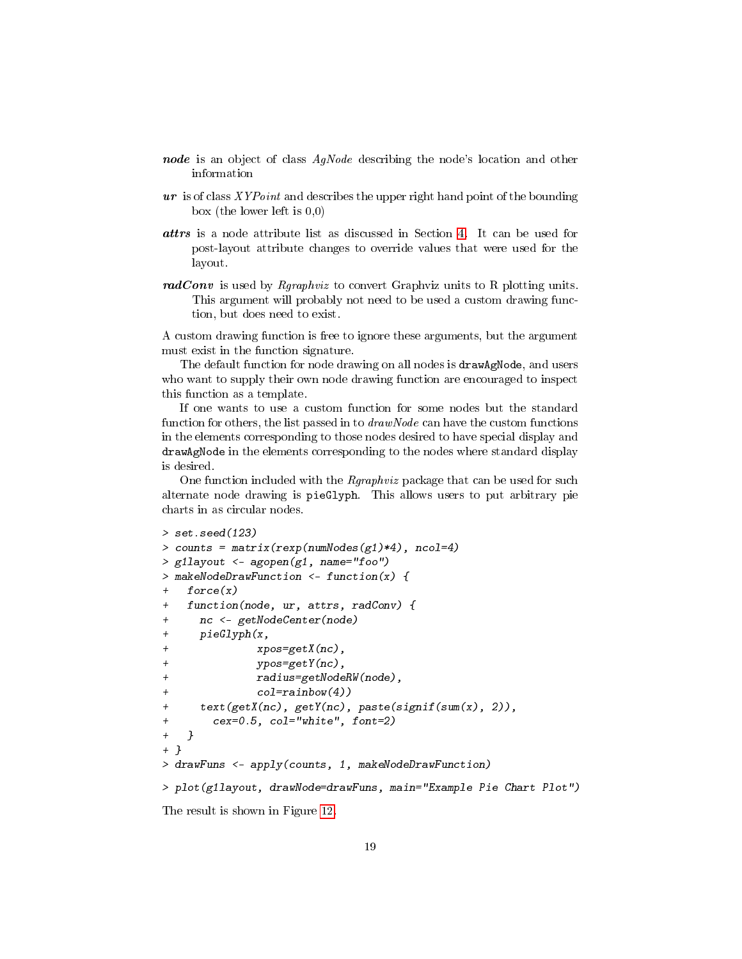- node is an object of class AgNode describing the node's location and other information
- $ur$  is of class  $XYPoint$  and describes the upper right hand point of the bounding box (the lower left is 0,0)
- attrs is a node attribute list as discussed in Section [4.](#page-5-0) It can be used for post-layout attribute changes to override values that were used for the layout.
- $radConv$  is used by *Rgraphviz* to convert Graphviz units to R plotting units. This argument will probably not need to be used a custom drawing function, but does need to exist.

A custom drawing function is free to ignore these arguments, but the argument must exist in the function signature.

The default function for node drawing on all nodes is drawAgNode, and users who want to supply their own node drawing function are encouraged to inspect this function as a template.

If one wants to use a custom function for some nodes but the standard function for others, the list passed in to drawNode can have the custom functions in the elements corresponding to those nodes desired to have special display and drawAgNode in the elements corresponding to the nodes where standard display is desired.

One function included with the *Rgraphviz* package that can be used for such alternate node drawing is pieGlyph. This allows users to put arbitrary pie charts in as circular nodes.

```
> set.seed(123)
> counts = matrix(rexp(numNodes(g1)*4), ncol=4)
> g1layout <- agopen(g1, name="foo")
> makeNodeDrawFunction <- function(x) {
   force(x)+ function(node, ur, attrs, radConv) {
     nc <- getNodeCenter(node)
+ pieGlyph(x,
+ xpos=getX(nc),
+ ypos=getY(nc),
+ radius=getNodeRW(node),
+ col=rainbow(4))
     text(getX(nc), getY(nc), paste(signif(sum(x), 2)),+ cex=0.5, col="white", font=2)
+ }
+ }
> drawFuns <- apply(counts, 1, makeNodeDrawFunction)
> plot(g1layout, drawNode=drawFuns, main="Example Pie Chart Plot")
The result is shown in Figure 12.
```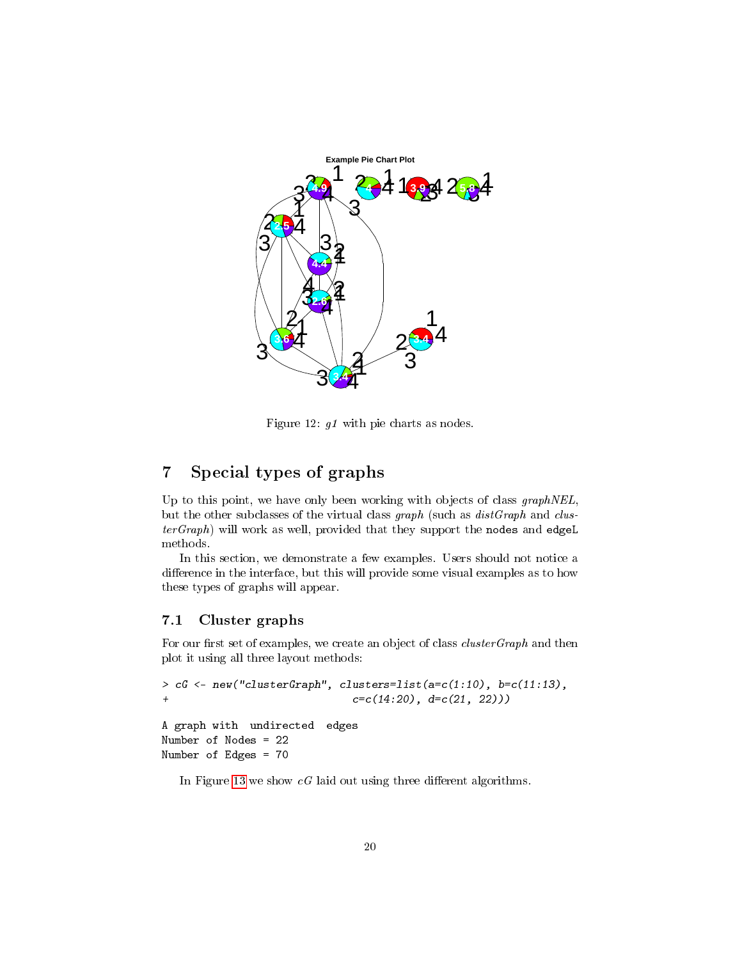

<span id="page-19-2"></span>Figure 12: g1 with pie charts as nodes.

# <span id="page-19-0"></span>7 Special types of graphs

Up to this point, we have only been working with objects of class graphNEL, but the other subclasses of the virtual class graph (such as  $distGraph$  and clus $terGraph$ ) will work as well, provided that they support the nodes and edgeL methods.

In this section, we demonstrate a few examples. Users should not notice a difference in the interface, but this will provide some visual examples as to how these types of graphs will appear.

### <span id="page-19-1"></span>7.1 Cluster graphs

For our first set of examples, we create an object of class  $clusterGraph$  and then plot it using all three layout methods:

```
> cG <- new("clusterGraph", clusters=list(a=c(1:10), b=c(11:13),
+ c=c(14:20), d=c(21, 22))A graph with undirected edges
Number of Nodes = 22
Number of Edges = 70
```
In Figure [13](#page-20-1) we show  $cG$  laid out using three different algorithms.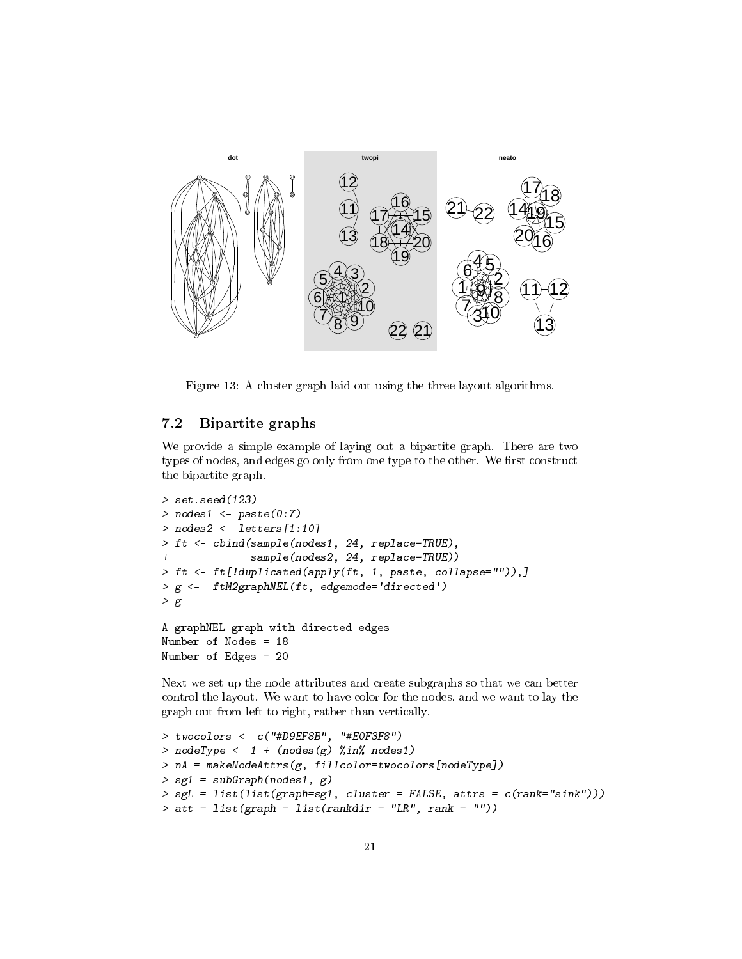

<span id="page-20-1"></span>Figure 13: A cluster graph laid out using the three layout algorithms.

### <span id="page-20-0"></span>7.2 Bipartite graphs

We provide a simple example of laying out a bipartite graph. There are two types of nodes, and edges go only from one type to the other. We first construct the bipartite graph.

```
> set.seed(123)
> nodes1 <- paste(0:7)
> nodes2 <- letters[1:10]
> ft <- cbind(sample(nodes1, 24, replace=TRUE),
              sample(nodes2, 24, replace=TRUE))
> ft <- ft[!duplicated(apply(ft, 1, paste, collapse="")),]
> g <- ftM2graphNEL(ft, edgemode='directed')
> gA graphNEL graph with directed edges
Number of Nodes = 18
Number of Edges = 20
```
Next we set up the node attributes and create subgraphs so that we can better control the layout. We want to have color for the nodes, and we want to lay the graph out from left to right, rather than vertically.

```
> twocolors <- c("#D9EF8B", "#E0F3F8")
> nodeType <- 1 + (nodes(g) %in% nodes1)> nA = makeNodeAttrs(g, fillcolor=twocolors[nodeType])
> sg1 = subGraph(nodes1, g)
> sgL = list(list(graph=sg1, cluster = FALSE, attrs = c(rank="sink"))> att = list(graph = list(rankdir = "LR", rank = ""))
```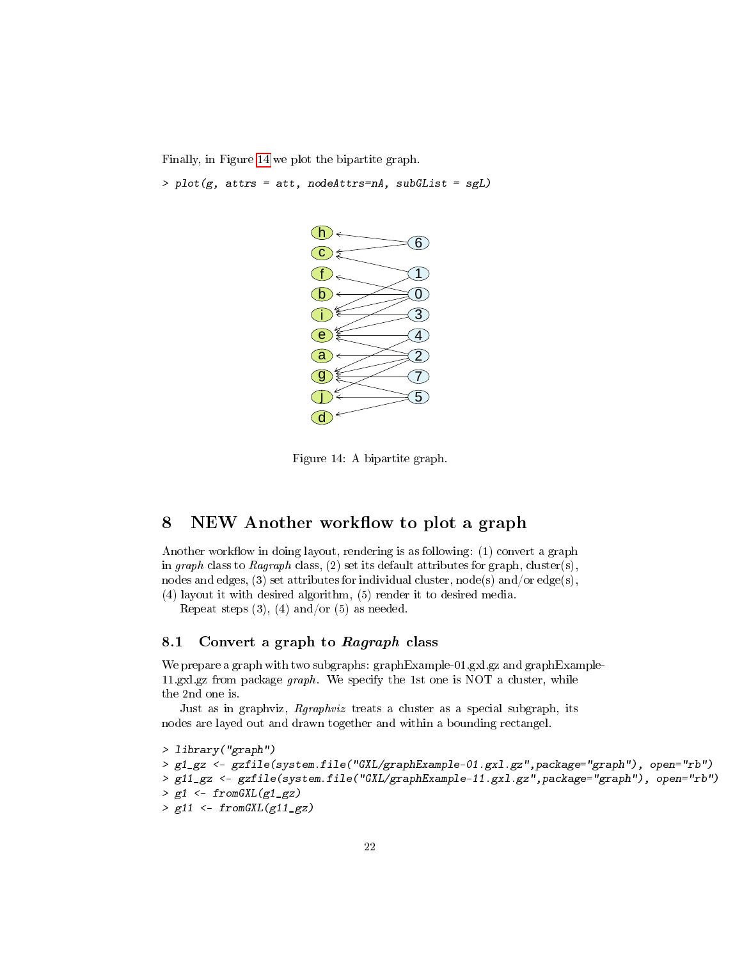Finally, in Figure [14](#page-21-2) we plot the bipartite graph.

 $> plot(g, attrs = att, nodeAttrs = nA, subGList = sgL)$ 



<span id="page-21-2"></span>Figure 14: A bipartite graph.

# <span id="page-21-0"></span>8 NEW Another workflow to plot a graph

Another workflow in doing layout, rendering is as following:  $(1)$  convert a graph in graph class to Ragraph class,  $(2)$  set its default attributes for graph, cluster(s), nodes and edges, (3) set attributes for individual cluster, node(s) and/or edge(s), (4) layout it with desired algorithm, (5) render it to desired media.

Repeat steps  $(3)$ ,  $(4)$  and/or  $(5)$  as needed.

#### <span id="page-21-1"></span>8.1 Convert a graph to Ragraph class

We prepare a graph with two subgraphs: graphExample-01.gxl.gz and graphExample-11.gxl.gz from package graph. We specify the 1st one is NOT a cluster, while the 2nd one is.

Just as in graphviz, Rgraphviz treats a cluster as a special subgraph, its nodes are layed out and drawn together and within a bounding rectangel.

```
> library("graph")
> g1_gz <- gzfile(system.file("GXL/graphExample-01.gxl.gz",package="graph"), open="rb")
> g11_gz <- gzfile(system.file("GXL/graphExample-11.gxl.gz",package="graph"), open="rb")
> g1 \leftarrow from GXL(g1_gz)> g11 \leftarrow from GXL(g11_gz)
```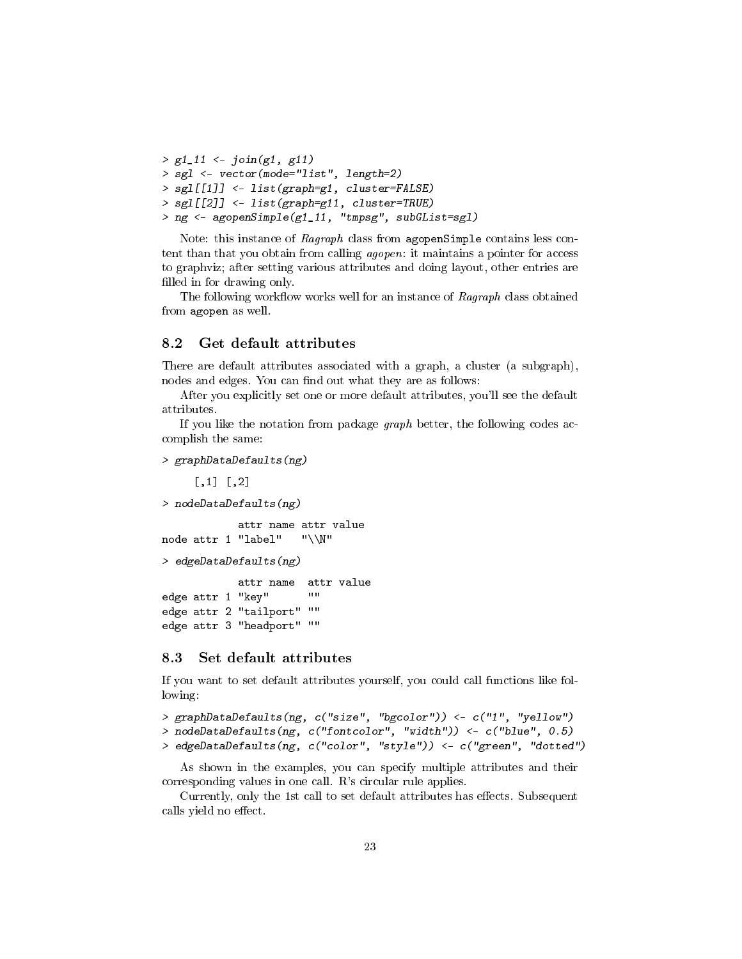```
> g1_11 < -join(g1, g11)> sgl <- vector(mode="list", length=2)
> sgl[[1]] <- list(graph=g1, cluster=FALSE)
> sgl[[2]] <- list(graph=g11, cluster=TRUE)
> ng <- agopenSimple(g1_11, "tmpsg", subGList=sgl)
```
Note: this instance of Ragraph class from agopenSimple contains less content than that you obtain from calling agopen: it maintains a pointer for access to graphviz; after setting various attributes and doing layout, other entries are filled in for drawing only.

The following work flow works well for an instance of  $Ragraph$  class obtained from agopen as well.

### <span id="page-22-0"></span>8.2 Get default attributes

There are default attributes associated with a graph, a cluster (a subgraph), nodes and edges. You can find out what they are as follows:

After you explicitly set one or more default attributes, you'll see the default attributes.

If you like the notation from package graph better, the following codes accomplish the same:

```
> graphDataDefaults(ng)
```

```
[,1] [,2]> nodeDataDefaults(ng)
           attr name attr value
node attr 1 "label" "\\N"
> edgeDataDefaults(ng)
           attr name attr value
edge attr 1 "key" ""
edge attr 2 "tailport" ""
edge attr 3 "headport" ""
```
#### <span id="page-22-1"></span>8.3 Set default attributes

If you want to set default attributes yourself, you could call functions like following:

```
> graphDataDefaults(ng, c("size", "bgcolor")) <- c("1", "yellow")
```
> nodeDataDefaults(ng, c("fontcolor", "width")) <- c("blue", 0.5)

```
> edgeDataDefaults(ng, c("color", "style")) <- c("green", "dotted")
```
As shown in the examples, you can specify multiple attributes and their corresponding values in one call. R's circular rule applies.

Currently, only the 1st call to set default attributes has effects. Subsequent calls yield no effect.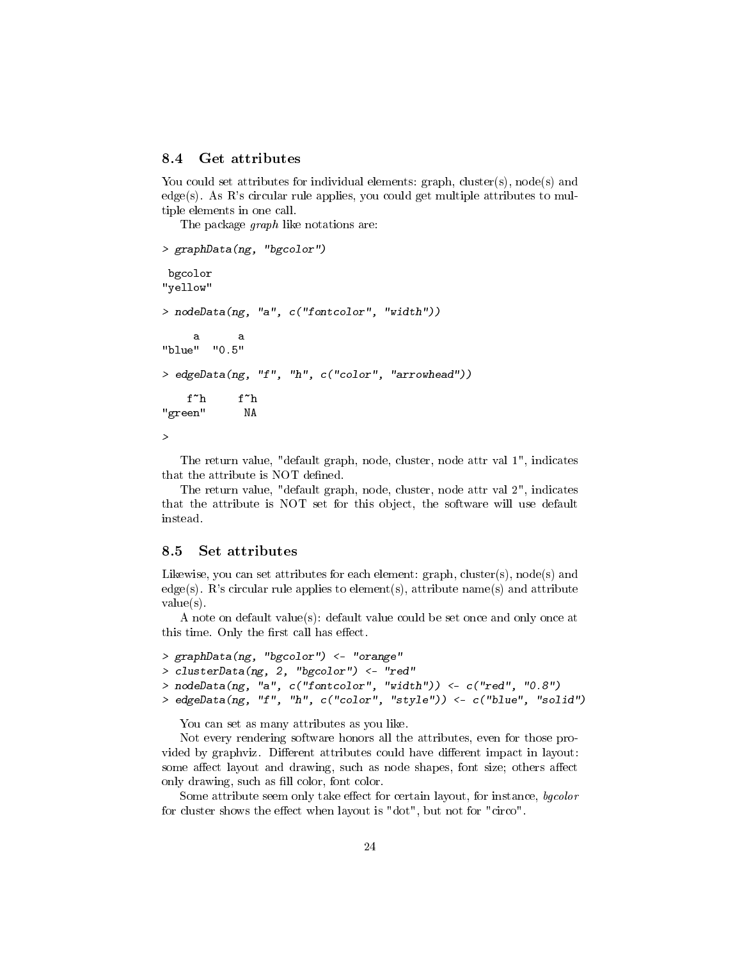### <span id="page-23-0"></span>8.4 Get attributes

You could set attributes for individual elements:  $graph$ ,  $cluster(s)$ ,  $node(s)$  and edge(s). As R's circular rule applies, you could get multiple attributes to multiple elements in one call.

The package *graph* like notations are:

```
> graphData(ng, "bgcolor")
bgcolor
"yellow"
> nodeData(ng, "a", c("fontcolor", "width"))
    a a
"blue" "0.5"
> edgeData(ng, "f", "h", c("color", "arrowhead"))
   f~h f~h
"green" NA
>
```
The return value, "default graph, node, cluster, node attr val 1", indicates that the attribute is NOT defined.

The return value, "default graph, node, cluster, node attr val 2", indicates that the attribute is NOT set for this object, the software will use default instead.

#### <span id="page-23-1"></span>8.5 Set attributes

Likewise, you can set attributes for each element:  $graph$ ,  $cluster(s)$ ,  $node(s)$  and edge(s). R's circular rule applies to element(s), attribute name(s) and attribute value(s).

A note on default value(s): default value could be set once and only once at this time. Only the first call has effect.

```
> graphData(ng, "bgcolor") <- "orange"
> clusterData(ng, 2, "bgcolor") <- "red"
> nodeData(ng, "a", c("fontcolor", "width")) <- c("red", "0.8")
> edgeData(ng, "f", "h", c("color", "style")) <- c("blue", "solid")
```
You can set as many attributes as you like.

Not every rendering software honors all the attributes, even for those provided by graphviz. Different attributes could have different impact in layout: some affect layout and drawing, such as node shapes, font size; others affect only drawing, such as fill color, font color.

Some attribute seem only take effect for certain layout, for instance, bgcolor for cluster shows the effect when layout is "dot", but not for "circo".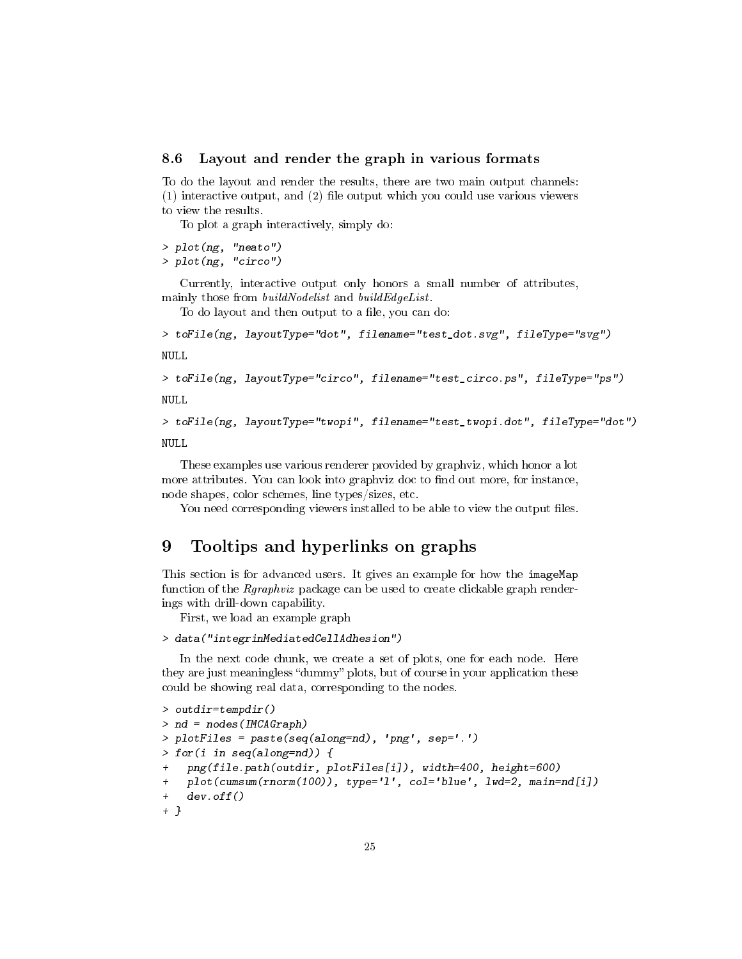#### <span id="page-24-0"></span>8.6 Layout and render the graph in various formats

To do the layout and render the results, there are two main output channels:  $(1)$  interactive output, and  $(2)$  file output which you could use various viewers to view the results.

To plot a graph interactively, simply do:

> plot(ng, "neato")

> plot(ng, "circo")

Currently, interactive output only honors a small number of attributes, mainly those from *buildNodelist* and *buildEdgeList*.

To do layout and then output to a file, you can do:

```
> toFile(ng, layoutType="dot", filename="test_dot.svg", fileType="svg")
```
NULL

```
> toFile(ng, layoutType="circo", filename="test_circo.ps", fileType="ps")
NULL
```
> toFile(ng, layoutType="twopi", filename="test\_twopi.dot", fileType="dot")

NULL

These examples use various renderer provided by graphviz, which honor a lot more attributes. You can look into graphviz doc to find out more, for instance, node shapes, color schemes, line types/sizes, etc.

You need corresponding viewers installed to be able to view the output files.

# <span id="page-24-1"></span>9 Tooltips and hyperlinks on graphs

This section is for advanced users. It gives an example for how the imageMap function of the Rgraphviz package can be used to create clickable graph renderings with drill-down capability.

First, we load an example graph

> data("integrinMediatedCellAdhesion")

In the next code chunk, we create a set of plots, one for each node. Here they are just meaningless "dummy" plots, but of course in your application these could be showing real data, corresponding to the nodes.

```
> outdir=tempdir()
> nd = nodes(IMCAGraph)> plotFiles = paste(seq(along=nd), 'png', sep='.')
> for(i in seq(along=nd)) {
   png(file.path(outdir, plotFiles[i]), width=400, height=600)
+ plot(cumsum(rnorm(100)), type='l', col='blue', lwd=2, main=nd[i])
    dev.off()+ }
```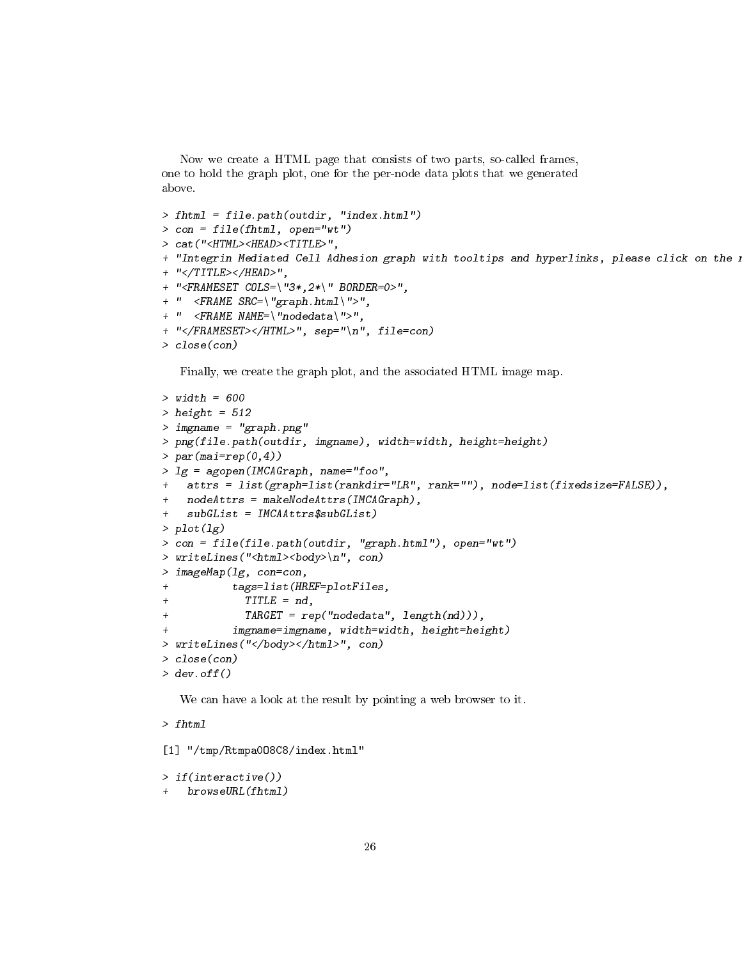Now we create a HTML page that consists of two parts, so-called frames, one to hold the graph plot, one for the per-node data plots that we generated above.

```
> fhtml = file.path(outdir, "index.html")
> con = file(fhtml, open="wt")
> cat("<HTML><HEAD><TITLE>",
+ "Integrin Mediated Cell Adhesion graph with tooltips and hyperlinks, please click on the i
+ "</TITLE></HEAD>",
+ "<FRAMESET COLS=\"3*,2*\" BORDER=0>",
+ " <FRAME SRC=\"graph.html\">",
+ " <FRAME NAME=\"nodedata\">",
+ "</FRAMESET></HTML>", sep="\n", file=con)
> close(con)
```
Finally, we create the graph plot, and the associated HTML image map.

```
> width = 600
> height = 512> imgname = "graph.png"
> png(file.path(outdir, imgname), width=width, height=height)
> par(max=rep(0,4))> lg = agopen(IMCAGraph, name="foo",
   attrs = list(graph=list(rankdir="LR", rank=""), node=list(fixedsize=FALSE)),
+ nodeAttrs = makeNodeAttrs(IMCAGraph),
   subGList = IMCAAttrs$subGList)> plot(lg)
> con = file(file.path(outdir, "graph.html"), open="wt")
> writeLines("<html><br/>body>\n", con)
> imageMap(lg, con=con,
+ tags=list(HREF=plotFiles,
+ TITLE = nd,
+ TARGET = rep("nodedata", length(nd))),
          impname=impname, width=width, height=height)> writeLines("</body></html>", con)
> close(con)
> dev. of f()
```
We can have a look at the result by pointing a web browser to it.

> fhtml

```
[1] "/tmp/Rtmpa0O8C8/index.html"
```

```
> if(interactive())
   browse \textit{URL}~(fhtml)
```